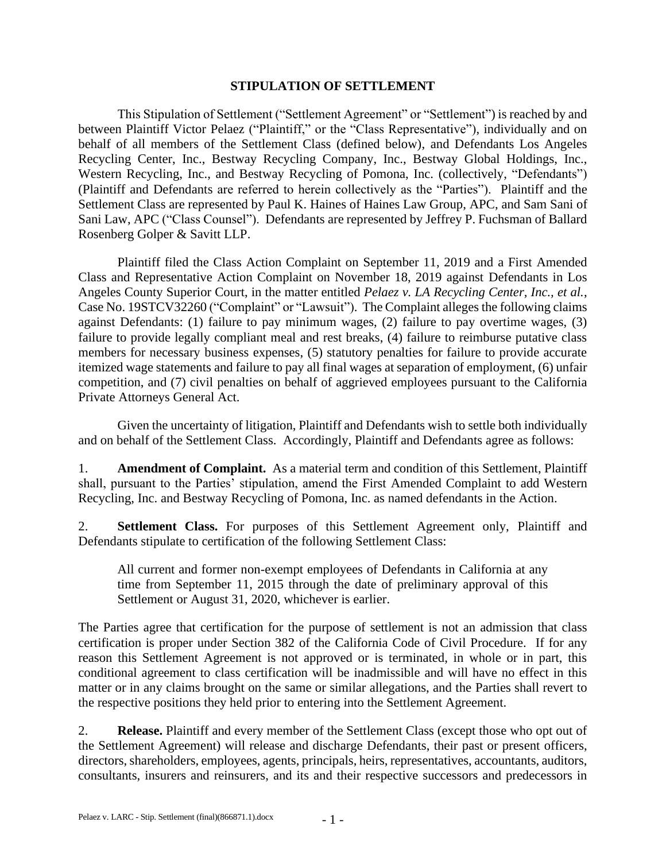## **STIPULATION OF SETTLEMENT**

This Stipulation of Settlement ("Settlement Agreement" or "Settlement") is reached by and between Plaintiff Victor Pelaez ("Plaintiff," or the "Class Representative"), individually and on behalf of all members of the Settlement Class (defined below), and Defendants Los Angeles Recycling Center, Inc., Bestway Recycling Company, Inc., Bestway Global Holdings, Inc., Western Recycling, Inc., and Bestway Recycling of Pomona, Inc. (collectively, "Defendants") (Plaintiff and Defendants are referred to herein collectively as the "Parties"). Plaintiff and the Settlement Class are represented by Paul K. Haines of Haines Law Group, APC, and Sam Sani of Sani Law, APC ("Class Counsel"). Defendants are represented by Jeffrey P. Fuchsman of Ballard Rosenberg Golper & Savitt LLP.

Plaintiff filed the Class Action Complaint on September 11, 2019 and a First Amended Class and Representative Action Complaint on November 18, 2019 against Defendants in Los Angeles County Superior Court, in the matter entitled *Pelaez v. LA Recycling Center, Inc., et al.*, Case No. 19STCV32260 ("Complaint" or "Lawsuit"). The Complaint alleges the following claims against Defendants: (1) failure to pay minimum wages, (2) failure to pay overtime wages, (3) failure to provide legally compliant meal and rest breaks, (4) failure to reimburse putative class members for necessary business expenses, (5) statutory penalties for failure to provide accurate itemized wage statements and failure to pay all final wages at separation of employment, (6) unfair competition, and (7) civil penalties on behalf of aggrieved employees pursuant to the California Private Attorneys General Act.

Given the uncertainty of litigation, Plaintiff and Defendants wish to settle both individually and on behalf of the Settlement Class. Accordingly, Plaintiff and Defendants agree as follows:

1. **Amendment of Complaint.** As a material term and condition of this Settlement, Plaintiff shall, pursuant to the Parties' stipulation, amend the First Amended Complaint to add Western Recycling, Inc. and Bestway Recycling of Pomona, Inc. as named defendants in the Action.

2. **Settlement Class.** For purposes of this Settlement Agreement only, Plaintiff and Defendants stipulate to certification of the following Settlement Class:

All current and former non-exempt employees of Defendants in California at any time from September 11, 2015 through the date of preliminary approval of this Settlement or August 31, 2020, whichever is earlier.

The Parties agree that certification for the purpose of settlement is not an admission that class certification is proper under Section 382 of the California Code of Civil Procedure. If for any reason this Settlement Agreement is not approved or is terminated, in whole or in part, this conditional agreement to class certification will be inadmissible and will have no effect in this matter or in any claims brought on the same or similar allegations, and the Parties shall revert to the respective positions they held prior to entering into the Settlement Agreement.

2. **Release.** Plaintiff and every member of the Settlement Class (except those who opt out of the Settlement Agreement) will release and discharge Defendants, their past or present officers, directors, shareholders, employees, agents, principals, heirs, representatives, accountants, auditors, consultants, insurers and reinsurers, and its and their respective successors and predecessors in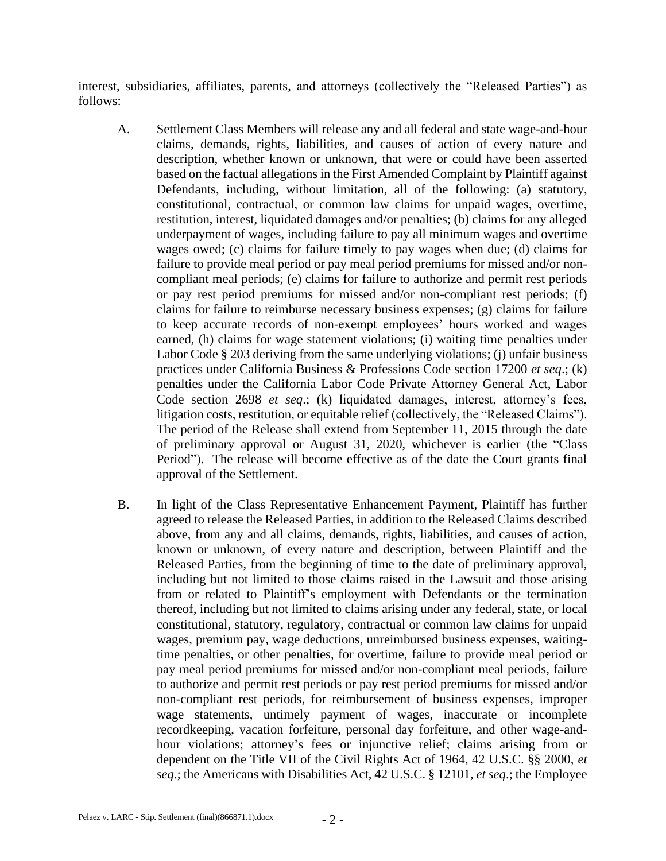interest, subsidiaries, affiliates, parents, and attorneys (collectively the "Released Parties") as follows:

- A. Settlement Class Members will release any and all federal and state wage-and-hour claims, demands, rights, liabilities, and causes of action of every nature and description, whether known or unknown, that were or could have been asserted based on the factual allegations in the First Amended Complaint by Plaintiff against Defendants, including, without limitation, all of the following: (a) statutory, constitutional, contractual, or common law claims for unpaid wages, overtime, restitution, interest, liquidated damages and/or penalties; (b) claims for any alleged underpayment of wages, including failure to pay all minimum wages and overtime wages owed; (c) claims for failure timely to pay wages when due; (d) claims for failure to provide meal period or pay meal period premiums for missed and/or noncompliant meal periods; (e) claims for failure to authorize and permit rest periods or pay rest period premiums for missed and/or non-compliant rest periods; (f) claims for failure to reimburse necessary business expenses; (g) claims for failure to keep accurate records of non-exempt employees' hours worked and wages earned, (h) claims for wage statement violations; (i) waiting time penalties under Labor Code § 203 deriving from the same underlying violations; (j) unfair business practices under California Business & Professions Code section 17200 *et seq*.; (k) penalties under the California Labor Code Private Attorney General Act, Labor Code section 2698 *et seq*.; (k) liquidated damages, interest, attorney's fees, litigation costs, restitution, or equitable relief (collectively, the "Released Claims"). The period of the Release shall extend from September 11, 2015 through the date of preliminary approval or August 31, 2020, whichever is earlier (the "Class Period"). The release will become effective as of the date the Court grants final approval of the Settlement.
- B. In light of the Class Representative Enhancement Payment, Plaintiff has further agreed to release the Released Parties, in addition to the Released Claims described above, from any and all claims, demands, rights, liabilities, and causes of action, known or unknown, of every nature and description, between Plaintiff and the Released Parties, from the beginning of time to the date of preliminary approval, including but not limited to those claims raised in the Lawsuit and those arising from or related to Plaintiff's employment with Defendants or the termination thereof, including but not limited to claims arising under any federal, state, or local constitutional, statutory, regulatory, contractual or common law claims for unpaid wages, premium pay, wage deductions, unreimbursed business expenses, waitingtime penalties, or other penalties, for overtime, failure to provide meal period or pay meal period premiums for missed and/or non-compliant meal periods, failure to authorize and permit rest periods or pay rest period premiums for missed and/or non-compliant rest periods, for reimbursement of business expenses, improper wage statements, untimely payment of wages, inaccurate or incomplete recordkeeping, vacation forfeiture, personal day forfeiture, and other wage-andhour violations; attorney's fees or injunctive relief; claims arising from or dependent on the Title VII of the Civil Rights Act of 1964, 42 U.S.C. §§ 2000, *et seq*.; the Americans with Disabilities Act, 42 U.S.C. § 12101, *et seq*.; the Employee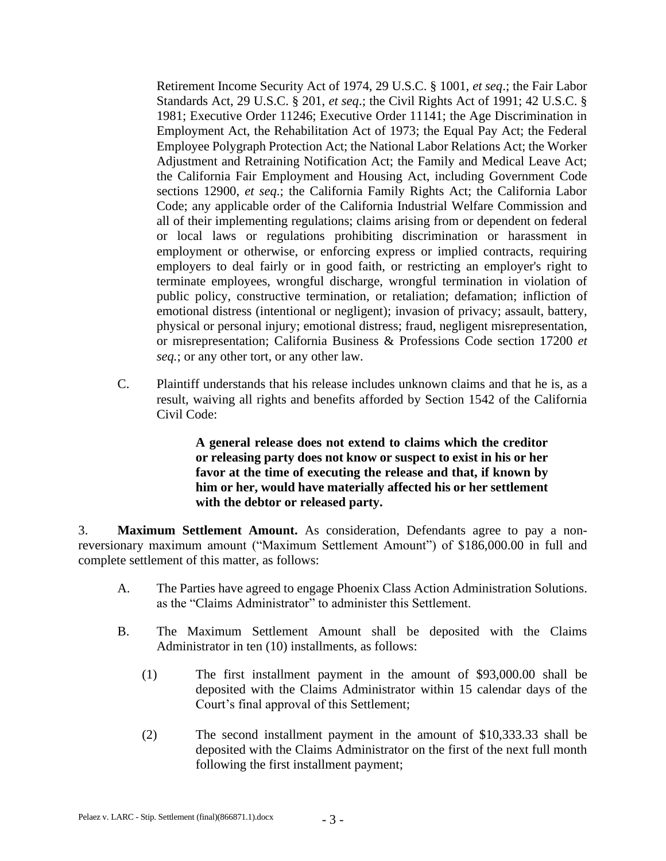Retirement Income Security Act of 1974, 29 U.S.C. § 1001, *et seq*.; the Fair Labor Standards Act, 29 U.S.C. § 201, *et seq*.; the Civil Rights Act of 1991; 42 U.S.C. § 1981; Executive Order 11246; Executive Order 11141; the Age Discrimination in Employment Act, the Rehabilitation Act of 1973; the Equal Pay Act; the Federal Employee Polygraph Protection Act; the National Labor Relations Act; the Worker Adjustment and Retraining Notification Act; the Family and Medical Leave Act; the California Fair Employment and Housing Act, including Government Code sections 12900, *et seq*.; the California Family Rights Act; the California Labor Code; any applicable order of the California Industrial Welfare Commission and all of their implementing regulations; claims arising from or dependent on federal or local laws or regulations prohibiting discrimination or harassment in employment or otherwise, or enforcing express or implied contracts, requiring employers to deal fairly or in good faith, or restricting an employer's right to terminate employees, wrongful discharge, wrongful termination in violation of public policy, constructive termination, or retaliation; defamation; infliction of emotional distress (intentional or negligent); invasion of privacy; assault, battery, physical or personal injury; emotional distress; fraud, negligent misrepresentation, or misrepresentation; California Business & Professions Code section 17200 *et seq.*; or any other tort, or any other law.

C. Plaintiff understands that his release includes unknown claims and that he is, as a result, waiving all rights and benefits afforded by Section 1542 of the California Civil Code:

> **A general release does not extend to claims which the creditor or releasing party does not know or suspect to exist in his or her favor at the time of executing the release and that, if known by him or her, would have materially affected his or her settlement with the debtor or released party.**

3. **Maximum Settlement Amount.** As consideration, Defendants agree to pay a nonreversionary maximum amount ("Maximum Settlement Amount") of \$186,000.00 in full and complete settlement of this matter, as follows:

- A. The Parties have agreed to engage Phoenix Class Action Administration Solutions. as the "Claims Administrator" to administer this Settlement.
- B. The Maximum Settlement Amount shall be deposited with the Claims Administrator in ten (10) installments, as follows:
	- (1) The first installment payment in the amount of \$93,000.00 shall be deposited with the Claims Administrator within 15 calendar days of the Court's final approval of this Settlement;
	- (2) The second installment payment in the amount of \$10,333.33 shall be deposited with the Claims Administrator on the first of the next full month following the first installment payment;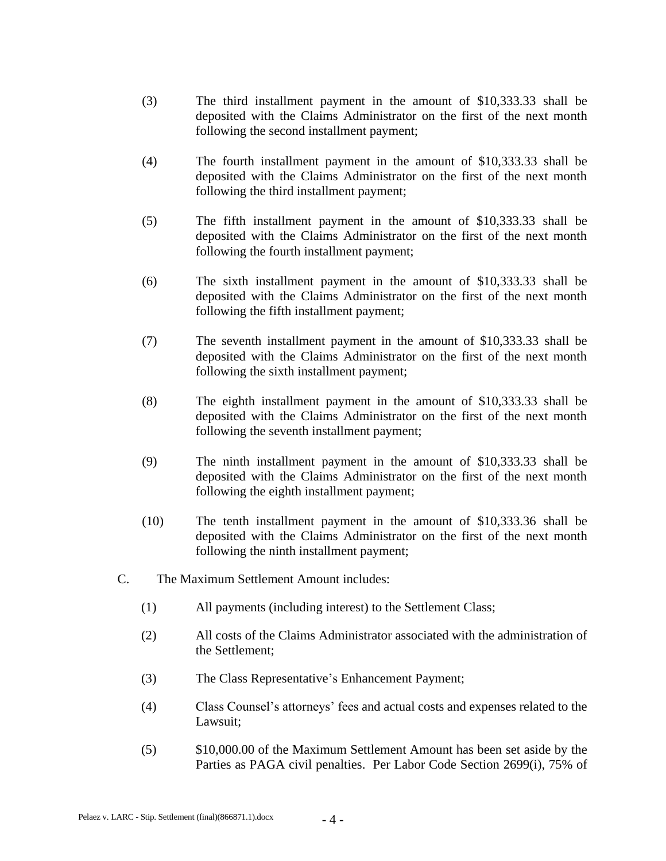- (3) The third installment payment in the amount of \$10,333.33 shall be deposited with the Claims Administrator on the first of the next month following the second installment payment;
- (4) The fourth installment payment in the amount of \$10,333.33 shall be deposited with the Claims Administrator on the first of the next month following the third installment payment;
- (5) The fifth installment payment in the amount of \$10,333.33 shall be deposited with the Claims Administrator on the first of the next month following the fourth installment payment;
- (6) The sixth installment payment in the amount of \$10,333.33 shall be deposited with the Claims Administrator on the first of the next month following the fifth installment payment;
- (7) The seventh installment payment in the amount of \$10,333.33 shall be deposited with the Claims Administrator on the first of the next month following the sixth installment payment;
- (8) The eighth installment payment in the amount of \$10,333.33 shall be deposited with the Claims Administrator on the first of the next month following the seventh installment payment;
- (9) The ninth installment payment in the amount of \$10,333.33 shall be deposited with the Claims Administrator on the first of the next month following the eighth installment payment;
- (10) The tenth installment payment in the amount of \$10,333.36 shall be deposited with the Claims Administrator on the first of the next month following the ninth installment payment;
- C. The Maximum Settlement Amount includes:
	- (1) All payments (including interest) to the Settlement Class;
	- (2) All costs of the Claims Administrator associated with the administration of the Settlement;
	- (3) The Class Representative's Enhancement Payment;
	- (4) Class Counsel's attorneys' fees and actual costs and expenses related to the Lawsuit;
	- (5) \$10,000.00 of the Maximum Settlement Amount has been set aside by the Parties as PAGA civil penalties. Per Labor Code Section 2699(i), 75% of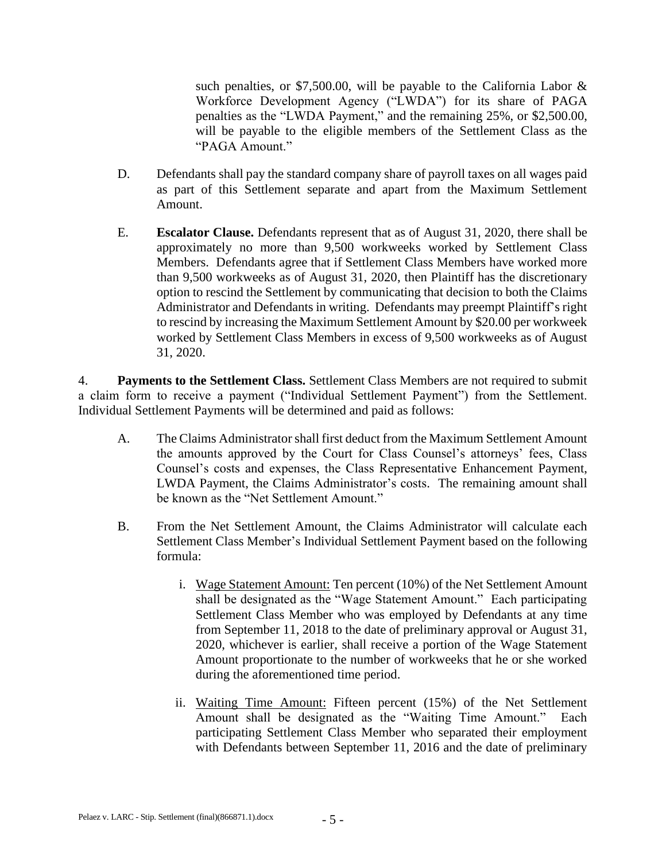such penalties, or \$7,500.00, will be payable to the California Labor  $\&$ Workforce Development Agency ("LWDA") for its share of PAGA penalties as the "LWDA Payment," and the remaining 25%, or \$2,500.00, will be payable to the eligible members of the Settlement Class as the "PAGA Amount."

- D. Defendants shall pay the standard company share of payroll taxes on all wages paid as part of this Settlement separate and apart from the Maximum Settlement Amount.
- E. **Escalator Clause.** Defendants represent that as of August 31, 2020, there shall be approximately no more than 9,500 workweeks worked by Settlement Class Members. Defendants agree that if Settlement Class Members have worked more than 9,500 workweeks as of August 31, 2020, then Plaintiff has the discretionary option to rescind the Settlement by communicating that decision to both the Claims Administrator and Defendants in writing. Defendants may preempt Plaintiff's right to rescind by increasing the Maximum Settlement Amount by \$20.00 per workweek worked by Settlement Class Members in excess of 9,500 workweeks as of August 31, 2020.

4. **Payments to the Settlement Class.** Settlement Class Members are not required to submit a claim form to receive a payment ("Individual Settlement Payment") from the Settlement. Individual Settlement Payments will be determined and paid as follows:

- A. The Claims Administrator shall first deduct from the Maximum Settlement Amount the amounts approved by the Court for Class Counsel's attorneys' fees, Class Counsel's costs and expenses, the Class Representative Enhancement Payment, LWDA Payment, the Claims Administrator's costs. The remaining amount shall be known as the "Net Settlement Amount."
- B. From the Net Settlement Amount, the Claims Administrator will calculate each Settlement Class Member's Individual Settlement Payment based on the following formula:
	- i. Wage Statement Amount: Ten percent (10%) of the Net Settlement Amount shall be designated as the "Wage Statement Amount." Each participating Settlement Class Member who was employed by Defendants at any time from September 11, 2018 to the date of preliminary approval or August 31, 2020, whichever is earlier, shall receive a portion of the Wage Statement Amount proportionate to the number of workweeks that he or she worked during the aforementioned time period.
	- ii. Waiting Time Amount: Fifteen percent (15%) of the Net Settlement Amount shall be designated as the "Waiting Time Amount." Each participating Settlement Class Member who separated their employment with Defendants between September 11, 2016 and the date of preliminary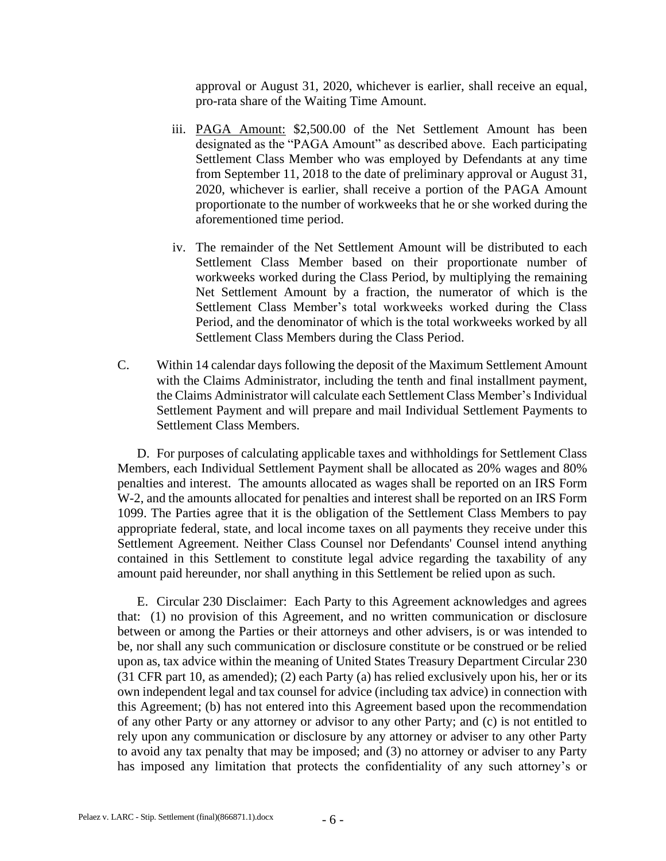approval or August 31, 2020, whichever is earlier, shall receive an equal, pro-rata share of the Waiting Time Amount.

- iii. PAGA Amount: \$2,500.00 of the Net Settlement Amount has been designated as the "PAGA Amount" as described above. Each participating Settlement Class Member who was employed by Defendants at any time from September 11, 2018 to the date of preliminary approval or August 31, 2020, whichever is earlier, shall receive a portion of the PAGA Amount proportionate to the number of workweeks that he or she worked during the aforementioned time period.
- iv. The remainder of the Net Settlement Amount will be distributed to each Settlement Class Member based on their proportionate number of workweeks worked during the Class Period, by multiplying the remaining Net Settlement Amount by a fraction, the numerator of which is the Settlement Class Member's total workweeks worked during the Class Period, and the denominator of which is the total workweeks worked by all Settlement Class Members during the Class Period.
- C. Within 14 calendar days following the deposit of the Maximum Settlement Amount with the Claims Administrator, including the tenth and final installment payment, the Claims Administrator will calculate each Settlement Class Member's Individual Settlement Payment and will prepare and mail Individual Settlement Payments to Settlement Class Members.

D. For purposes of calculating applicable taxes and withholdings for Settlement Class Members, each Individual Settlement Payment shall be allocated as 20% wages and 80% penalties and interest. The amounts allocated as wages shall be reported on an IRS Form W-2, and the amounts allocated for penalties and interest shall be reported on an IRS Form 1099. The Parties agree that it is the obligation of the Settlement Class Members to pay appropriate federal, state, and local income taxes on all payments they receive under this Settlement Agreement. Neither Class Counsel nor Defendants' Counsel intend anything contained in this Settlement to constitute legal advice regarding the taxability of any amount paid hereunder, nor shall anything in this Settlement be relied upon as such.

E. Circular 230 Disclaimer: Each Party to this Agreement acknowledges and agrees that: (1) no provision of this Agreement, and no written communication or disclosure between or among the Parties or their attorneys and other advisers, is or was intended to be, nor shall any such communication or disclosure constitute or be construed or be relied upon as, tax advice within the meaning of United States Treasury Department Circular 230 (31 CFR part 10, as amended); (2) each Party (a) has relied exclusively upon his, her or its own independent legal and tax counsel for advice (including tax advice) in connection with this Agreement; (b) has not entered into this Agreement based upon the recommendation of any other Party or any attorney or advisor to any other Party; and (c) is not entitled to rely upon any communication or disclosure by any attorney or adviser to any other Party to avoid any tax penalty that may be imposed; and (3) no attorney or adviser to any Party has imposed any limitation that protects the confidentiality of any such attorney's or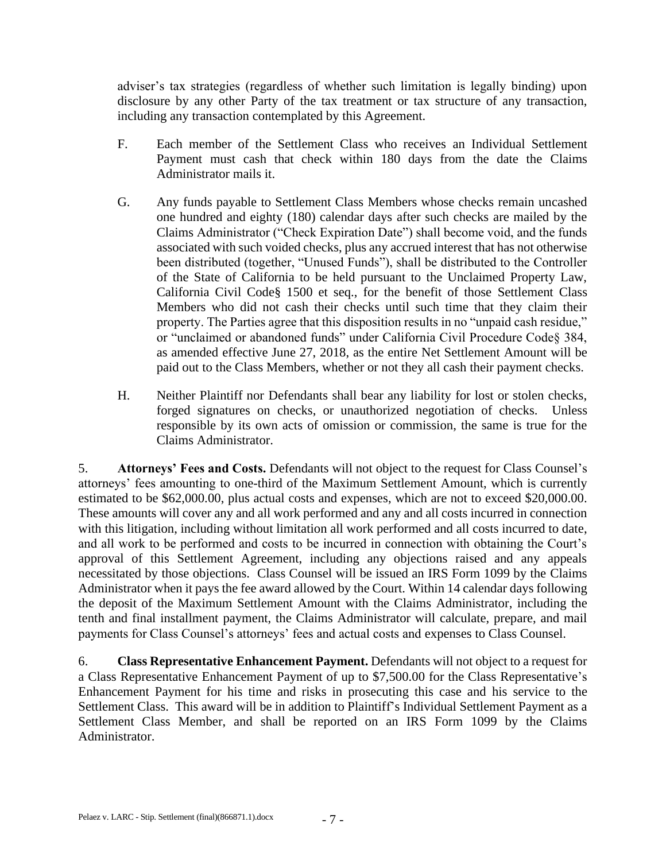adviser's tax strategies (regardless of whether such limitation is legally binding) upon disclosure by any other Party of the tax treatment or tax structure of any transaction, including any transaction contemplated by this Agreement.

- F. Each member of the Settlement Class who receives an Individual Settlement Payment must cash that check within 180 days from the date the Claims Administrator mails it.
- G. Any funds payable to Settlement Class Members whose checks remain uncashed one hundred and eighty (180) calendar days after such checks are mailed by the Claims Administrator ("Check Expiration Date") shall become void, and the funds associated with such voided checks, plus any accrued interest that has not otherwise been distributed (together, "Unused Funds"), shall be distributed to the Controller of the State of California to be held pursuant to the Unclaimed Property Law, California Civil Code§ 1500 et seq., for the benefit of those Settlement Class Members who did not cash their checks until such time that they claim their property. The Parties agree that this disposition results in no "unpaid cash residue," or "unclaimed or abandoned funds" under California Civil Procedure Code§ 384, as amended effective June 27, 2018, as the entire Net Settlement Amount will be paid out to the Class Members, whether or not they all cash their payment checks.
- H. Neither Plaintiff nor Defendants shall bear any liability for lost or stolen checks, forged signatures on checks, or unauthorized negotiation of checks. Unless responsible by its own acts of omission or commission, the same is true for the Claims Administrator.

5. **Attorneys' Fees and Costs.** Defendants will not object to the request for Class Counsel's attorneys' fees amounting to one-third of the Maximum Settlement Amount, which is currently estimated to be \$62,000.00, plus actual costs and expenses, which are not to exceed \$20,000.00. These amounts will cover any and all work performed and any and all costs incurred in connection with this litigation, including without limitation all work performed and all costs incurred to date, and all work to be performed and costs to be incurred in connection with obtaining the Court's approval of this Settlement Agreement, including any objections raised and any appeals necessitated by those objections. Class Counsel will be issued an IRS Form 1099 by the Claims Administrator when it pays the fee award allowed by the Court. Within 14 calendar days following the deposit of the Maximum Settlement Amount with the Claims Administrator, including the tenth and final installment payment, the Claims Administrator will calculate, prepare, and mail payments for Class Counsel's attorneys' fees and actual costs and expenses to Class Counsel.

6. **Class Representative Enhancement Payment.** Defendants will not object to a request for a Class Representative Enhancement Payment of up to \$7,500.00 for the Class Representative's Enhancement Payment for his time and risks in prosecuting this case and his service to the Settlement Class. This award will be in addition to Plaintiff's Individual Settlement Payment as a Settlement Class Member, and shall be reported on an IRS Form 1099 by the Claims Administrator.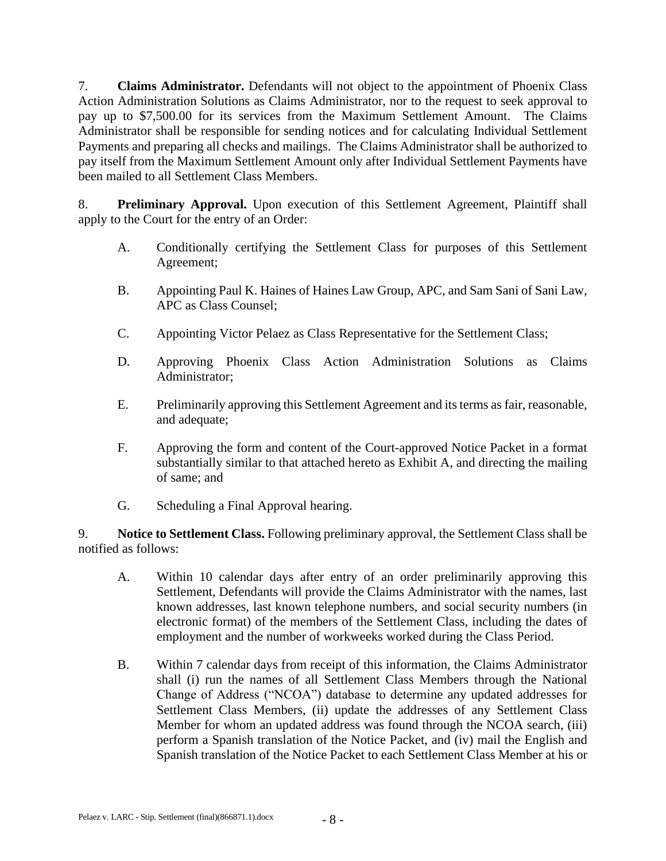7. **Claims Administrator.** Defendants will not object to the appointment of Phoenix Class Action Administration Solutions as Claims Administrator, nor to the request to seek approval to pay up to \$7,500.00 for its services from the Maximum Settlement Amount. The Claims Administrator shall be responsible for sending notices and for calculating Individual Settlement Payments and preparing all checks and mailings. The Claims Administrator shall be authorized to pay itself from the Maximum Settlement Amount only after Individual Settlement Payments have been mailed to all Settlement Class Members.

8. **Preliminary Approval.** Upon execution of this Settlement Agreement, Plaintiff shall apply to the Court for the entry of an Order:

- A. Conditionally certifying the Settlement Class for purposes of this Settlement Agreement;
- B. Appointing Paul K. Haines of Haines Law Group, APC, and Sam Sani of Sani Law, APC as Class Counsel;
- C. Appointing Victor Pelaez as Class Representative for the Settlement Class;
- D. Approving Phoenix Class Action Administration Solutions as Claims Administrator;
- E. Preliminarily approving this Settlement Agreement and its terms as fair, reasonable, and adequate;
- F. Approving the form and content of the Court-approved Notice Packet in a format substantially similar to that attached hereto as Exhibit A, and directing the mailing of same; and
- G. Scheduling a Final Approval hearing.

9. **Notice to Settlement Class.** Following preliminary approval, the Settlement Class shall be notified as follows:

- A. Within 10 calendar days after entry of an order preliminarily approving this Settlement, Defendants will provide the Claims Administrator with the names, last known addresses, last known telephone numbers, and social security numbers (in electronic format) of the members of the Settlement Class, including the dates of employment and the number of workweeks worked during the Class Period.
- B. Within 7 calendar days from receipt of this information, the Claims Administrator shall (i) run the names of all Settlement Class Members through the National Change of Address ("NCOA") database to determine any updated addresses for Settlement Class Members, (ii) update the addresses of any Settlement Class Member for whom an updated address was found through the NCOA search, (iii) perform a Spanish translation of the Notice Packet, and (iv) mail the English and Spanish translation of the Notice Packet to each Settlement Class Member at his or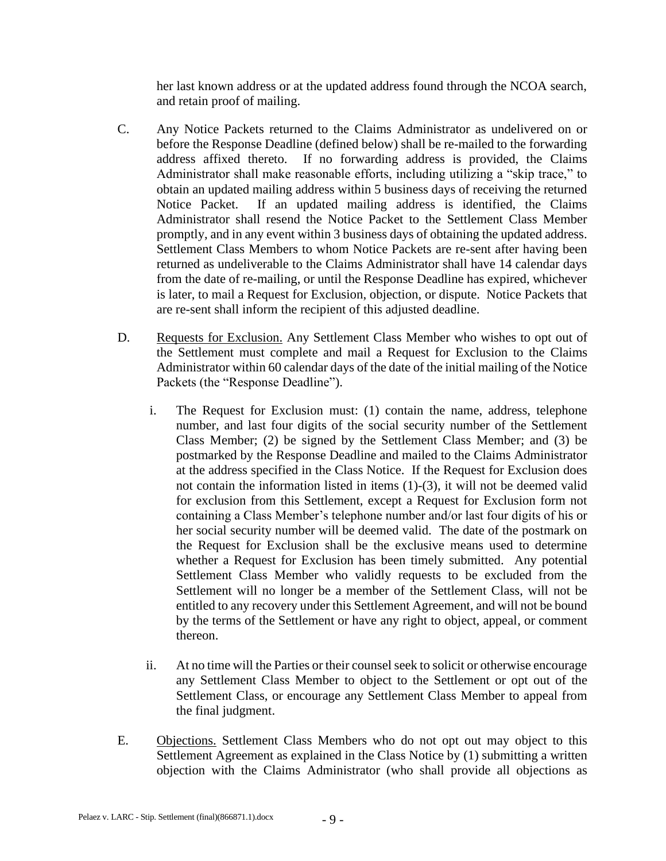her last known address or at the updated address found through the NCOA search, and retain proof of mailing.

- C. Any Notice Packets returned to the Claims Administrator as undelivered on or before the Response Deadline (defined below) shall be re-mailed to the forwarding address affixed thereto. If no forwarding address is provided, the Claims Administrator shall make reasonable efforts, including utilizing a "skip trace," to obtain an updated mailing address within 5 business days of receiving the returned Notice Packet. If an updated mailing address is identified, the Claims Administrator shall resend the Notice Packet to the Settlement Class Member promptly, and in any event within 3 business days of obtaining the updated address. Settlement Class Members to whom Notice Packets are re-sent after having been returned as undeliverable to the Claims Administrator shall have 14 calendar days from the date of re-mailing, or until the Response Deadline has expired, whichever is later, to mail a Request for Exclusion, objection, or dispute. Notice Packets that are re-sent shall inform the recipient of this adjusted deadline.
- D. Requests for Exclusion. Any Settlement Class Member who wishes to opt out of the Settlement must complete and mail a Request for Exclusion to the Claims Administrator within 60 calendar days of the date of the initial mailing of the Notice Packets (the "Response Deadline").
	- i. The Request for Exclusion must: (1) contain the name, address, telephone number, and last four digits of the social security number of the Settlement Class Member; (2) be signed by the Settlement Class Member; and (3) be postmarked by the Response Deadline and mailed to the Claims Administrator at the address specified in the Class Notice. If the Request for Exclusion does not contain the information listed in items (1)-(3), it will not be deemed valid for exclusion from this Settlement, except a Request for Exclusion form not containing a Class Member's telephone number and/or last four digits of his or her social security number will be deemed valid. The date of the postmark on the Request for Exclusion shall be the exclusive means used to determine whether a Request for Exclusion has been timely submitted. Any potential Settlement Class Member who validly requests to be excluded from the Settlement will no longer be a member of the Settlement Class, will not be entitled to any recovery under this Settlement Agreement, and will not be bound by the terms of the Settlement or have any right to object, appeal, or comment thereon.
	- ii. At no time will the Parties or their counsel seek to solicit or otherwise encourage any Settlement Class Member to object to the Settlement or opt out of the Settlement Class, or encourage any Settlement Class Member to appeal from the final judgment.
- E. Objections. Settlement Class Members who do not opt out may object to this Settlement Agreement as explained in the Class Notice by (1) submitting a written objection with the Claims Administrator (who shall provide all objections as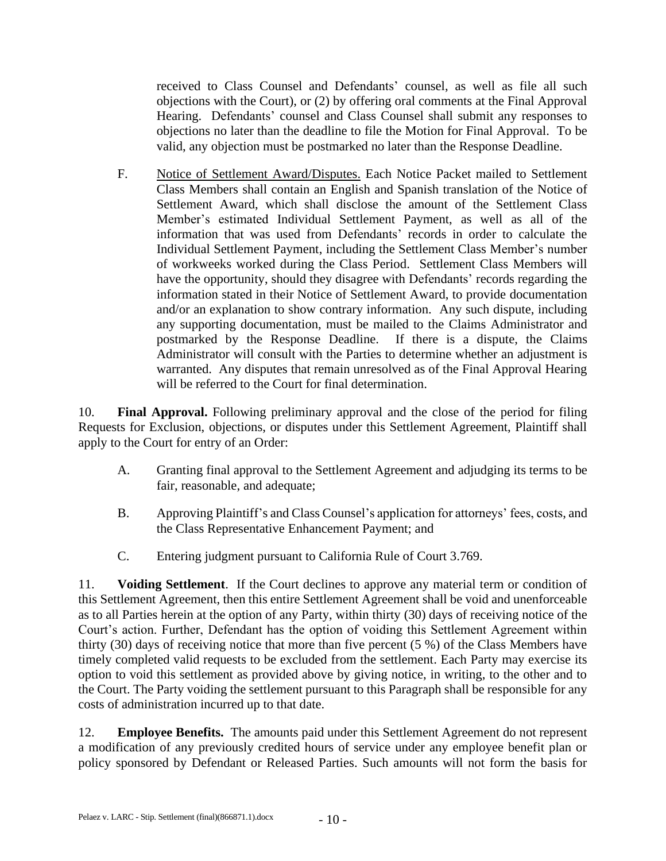received to Class Counsel and Defendants' counsel, as well as file all such objections with the Court), or (2) by offering oral comments at the Final Approval Hearing. Defendants' counsel and Class Counsel shall submit any responses to objections no later than the deadline to file the Motion for Final Approval. To be valid, any objection must be postmarked no later than the Response Deadline.

F. Notice of Settlement Award/Disputes. Each Notice Packet mailed to Settlement Class Members shall contain an English and Spanish translation of the Notice of Settlement Award, which shall disclose the amount of the Settlement Class Member's estimated Individual Settlement Payment, as well as all of the information that was used from Defendants' records in order to calculate the Individual Settlement Payment, including the Settlement Class Member's number of workweeks worked during the Class Period. Settlement Class Members will have the opportunity, should they disagree with Defendants' records regarding the information stated in their Notice of Settlement Award, to provide documentation and/or an explanation to show contrary information. Any such dispute, including any supporting documentation, must be mailed to the Claims Administrator and postmarked by the Response Deadline. If there is a dispute, the Claims Administrator will consult with the Parties to determine whether an adjustment is warranted. Any disputes that remain unresolved as of the Final Approval Hearing will be referred to the Court for final determination.

10. **Final Approval.** Following preliminary approval and the close of the period for filing Requests for Exclusion, objections, or disputes under this Settlement Agreement, Plaintiff shall apply to the Court for entry of an Order:

- A. Granting final approval to the Settlement Agreement and adjudging its terms to be fair, reasonable, and adequate;
- B. Approving Plaintiff's and Class Counsel's application for attorneys' fees, costs, and the Class Representative Enhancement Payment; and
- C. Entering judgment pursuant to California Rule of Court 3.769.

11. **Voiding Settlement**. If the Court declines to approve any material term or condition of this Settlement Agreement, then this entire Settlement Agreement shall be void and unenforceable as to all Parties herein at the option of any Party, within thirty (30) days of receiving notice of the Court's action. Further, Defendant has the option of voiding this Settlement Agreement within thirty (30) days of receiving notice that more than five percent (5 %) of the Class Members have timely completed valid requests to be excluded from the settlement. Each Party may exercise its option to void this settlement as provided above by giving notice, in writing, to the other and to the Court. The Party voiding the settlement pursuant to this Paragraph shall be responsible for any costs of administration incurred up to that date.

12. **Employee Benefits.** The amounts paid under this Settlement Agreement do not represent a modification of any previously credited hours of service under any employee benefit plan or policy sponsored by Defendant or Released Parties. Such amounts will not form the basis for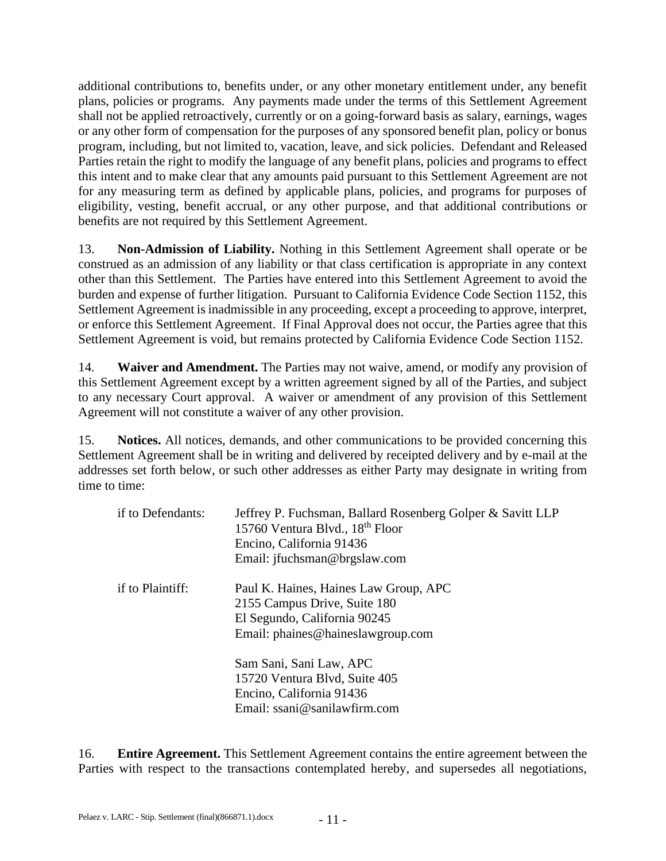additional contributions to, benefits under, or any other monetary entitlement under, any benefit plans, policies or programs. Any payments made under the terms of this Settlement Agreement shall not be applied retroactively, currently or on a going-forward basis as salary, earnings, wages or any other form of compensation for the purposes of any sponsored benefit plan, policy or bonus program, including, but not limited to, vacation, leave, and sick policies. Defendant and Released Parties retain the right to modify the language of any benefit plans, policies and programs to effect this intent and to make clear that any amounts paid pursuant to this Settlement Agreement are not for any measuring term as defined by applicable plans, policies, and programs for purposes of eligibility, vesting, benefit accrual, or any other purpose, and that additional contributions or benefits are not required by this Settlement Agreement.

13. **Non-Admission of Liability.** Nothing in this Settlement Agreement shall operate or be construed as an admission of any liability or that class certification is appropriate in any context other than this Settlement. The Parties have entered into this Settlement Agreement to avoid the burden and expense of further litigation. Pursuant to California Evidence Code Section 1152, this Settlement Agreement is inadmissible in any proceeding, except a proceeding to approve, interpret, or enforce this Settlement Agreement. If Final Approval does not occur, the Parties agree that this Settlement Agreement is void, but remains protected by California Evidence Code Section 1152.

14. **Waiver and Amendment.** The Parties may not waive, amend, or modify any provision of this Settlement Agreement except by a written agreement signed by all of the Parties, and subject to any necessary Court approval. A waiver or amendment of any provision of this Settlement Agreement will not constitute a waiver of any other provision.

15. **Notices.** All notices, demands, and other communications to be provided concerning this Settlement Agreement shall be in writing and delivered by receipted delivery and by e-mail at the addresses set forth below, or such other addresses as either Party may designate in writing from time to time:

| if to Defendants: | Jeffrey P. Fuchsman, Ballard Rosenberg Golper & Savitt LLP<br>15760 Ventura Blvd., 18 <sup>th</sup> Floor<br>Encino, California 91436<br>Email: jfuchsman@brgslaw.com |
|-------------------|-----------------------------------------------------------------------------------------------------------------------------------------------------------------------|
| if to Plaintiff:  | Paul K. Haines, Haines Law Group, APC<br>2155 Campus Drive, Suite 180<br>El Segundo, California 90245<br>Email: phaines@haineslawgroup.com                            |
|                   | Sam Sani, Sani Law, APC<br>15720 Ventura Blvd, Suite 405<br>Encino, California 91436<br>Email: ssani@sanilawfirm.com                                                  |

16. **Entire Agreement.** This Settlement Agreement contains the entire agreement between the Parties with respect to the transactions contemplated hereby, and supersedes all negotiations,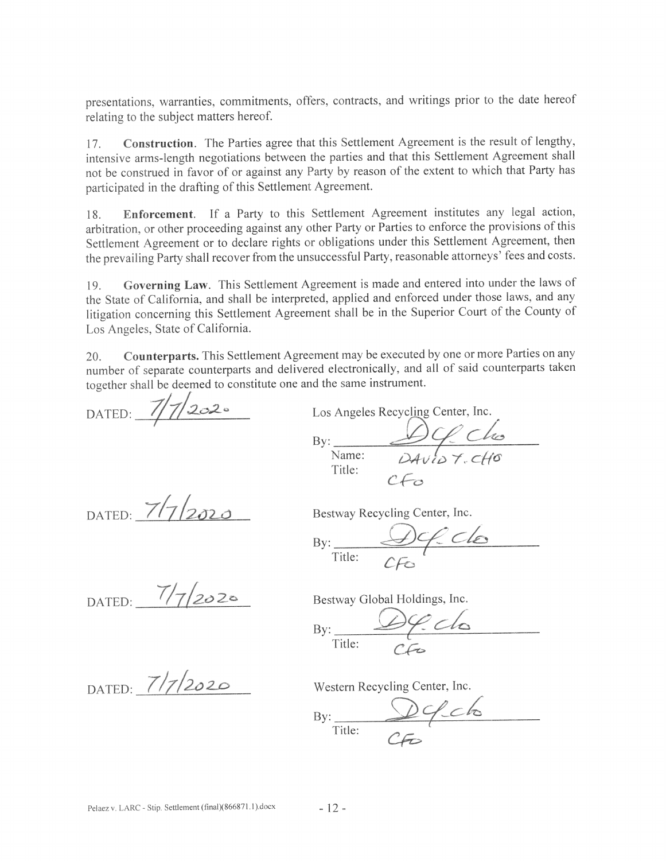presentations, warranties, commitments, offers, contracts, and writings prior to the date hereof relating to the subject matters hereof.

Construction. The Parties agree that this Settlement Agreement is the result of lengthy,  $17<sub>1</sub>$ intensive arms-length negotiations between the parties and that this Settlement Agreement shall not be construed in favor of or against any Party by reason of the extent to which that Party has participated in the drafting of this Settlement Agreement.

Enforcement. If a Party to this Settlement Agreement institutes any legal action, 18 arbitration, or other proceeding against any other Party or Parties to enforce the provisions of this Settlement Agreement or to declare rights or obligations under this Settlement Agreement, then the prevailing Party shall recover from the unsuccessful Party, reasonable attorneys' fees and costs.

Governing Law. This Settlement Agreement is made and entered into under the laws of  $19<sub>1</sub>$ the State of California, and shall be interpreted, applied and enforced under those laws, and any litigation concerning this Settlement Agreement shall be in the Superior Court of the County of Los Angeles, State of California.

Counterparts. This Settlement Agreement may be executed by one or more Parties on any  $20.$ number of separate counterparts and delivered electronically, and all of said counterparts taken together shall be deemed to constitute one and the same instrument.

DATED:  $7/7/2020$ 

DATED:  $7/7/2020$ 

Los Angeles Recycling Center, Inc. By:  $\frac{DQ}{Name:}$ Title:  $CE_{\Omega}$ 

Bestway Recycling Center, Inc.

 $By:   
Title:   
CFes$ 

DATED:  $7/7/2020$ 

Bestway Global Holdings, Inc.

 $Df:$ clo  $Bv:$ Title:

DATED: 7/7/2020

Western Recycling Center, Inc.

By: Defelo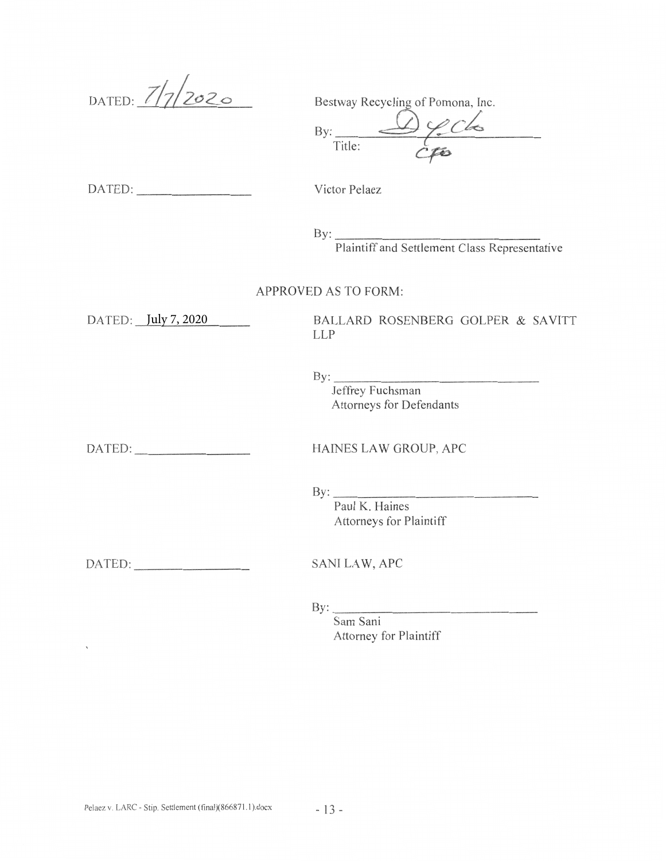DATED:  $7/7/2020$ 

Bestway Recycling of Pomona, Inc.

 $rac{\sqrt{2}}{\sqrt{6}}$  $Bv:$ Title:

DATED:

Victor Pelaez

 $\mathbf{By:}$ 

Plaintiff and Settlement Class Representative

APPROVED AS TO FORM:

DATED: July 7, 2020

BALLARD ROSENBERG GOLPER & SAVITT **LLP** 

 $\mathbf{By:}$ 

Jeffrey Fuchsman Attorneys for Defendants

 $\sqrt{ }$ 

HAINES LAW GROUP, APC

 $By:$ 

Paul K. Haines Attorneys for Plaintiff

DATED: **SANILAW, APC** 

By:  $\frac{\text{By:}}{\text{By:}}$ 

Sam Sani Attorney for Plaintiff